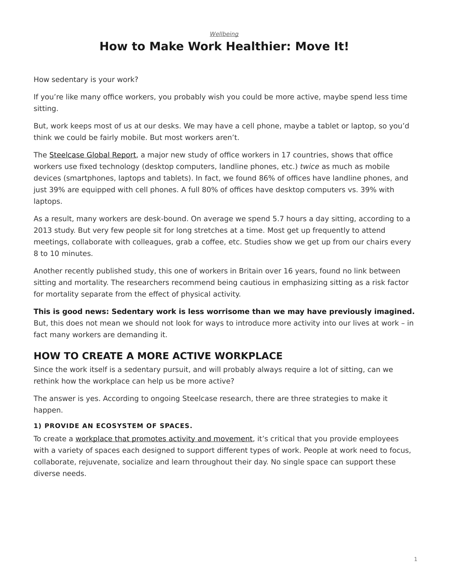## <span id="page-0-0"></span>*[Wellbeing](https://www.steelcase.com/research/topics/wellbeing/)* **How to Make Work Healthier: Move It!**

How sedentary is your work?

If you're like many office workers, you probably wish you could be more active, maybe spend less time sitting.

But, work keeps most of us at our desks. We may have a cell phone, maybe a tablet or laptop, so you'd think we could be fairly mobile. But most workers aren't.

The [Steelcase Global Report,](http://info.steelcase.com/) a major new study of office workers in 17 countries, shows that office workers use fixed technology (desktop computers, landline phones, etc.) *twice* as much as mobile devices (smartphones, laptops and tablets). In fact, we found 86% of offices have landline phones, and just 39% are equipped with cell phones. A full 80% of offices have desktop computers vs. 39% with laptops.

As a result, many workers are desk-bound. On average we spend 5.7 hours a day sitting, according to a 2013 study. But very few people sit for long stretches at a time. Most get up frequently to attend meetings, collaborate with colleagues, grab a coffee, etc. Studies show we get up from our chairs every 8 to 10 minutes.

Another recently published study, this one of workers in Britain over 16 years, found no link between sitting and mortality. The researchers recommend being cautious in emphasizing sitting as a risk factor for mortality separate from the effect of physical activity.

**This is good news: Sedentary work is less worrisome than we may have previously imagined.** But, this does not mean we should not look for ways to introduce more activity into our lives at work – in fact many workers are demanding it.

# **HOW TO CREATE A MORE ACTIVE WORKPLACE**

Since the work itself is a sedentary pursuit, and will probably always require a lot of sitting, can we rethink how the workplace can help us be more active?

The answer is yes. According to ongoing Steelcase research, there are three strategies to make it happen.

### **1) PROVIDE AN ECOSYSTEM OF SPACES.**

To create a [workplace that promotes activity and movement,](https://www.steelcase.com/employee-wellbeing/) it's critical that you provide employees with a variety of spaces each designed to support different types of work. People at work need to focus, collaborate, rejuvenate, socialize and learn throughout their day. No single space can support these diverse needs.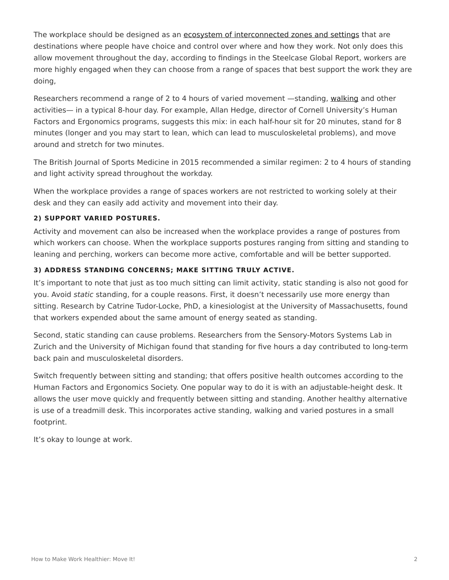The workplace should be designed as an [ecosystem of interconnected zones and settings](https://www.steelcase.com/resources/space-planning-ideas/?tax[application_type]=conference-meeting,desking,enclave,hd-videoconferencing,in-between-spaces,meeting-commons,nomadic-camp,open-plan,private-office,resident-neighborhood,social-hub,homebase,workcafe) that are destinations where people have choice and control over where and how they work. Not only does this allow movement throughout the day, according to findings in the Steelcase Global Report, workers are more highly engaged when they can choose from a range of spaces that best support the work they are doing,

Researchers recommend a range of 2 to 4 hours of varied movement —standing, [walking](https://www.steelcase.com/products/height-adjustable-desks/walkstation/) and other activities— in a typical 8-hour day. For example, Allan Hedge, director of Cornell University's Human Factors and Ergonomics programs, suggests this mix: in each half-hour sit for 20 minutes, stand for 8 minutes (longer and you may start to lean, which can lead to musculoskeletal problems), and move around and stretch for two minutes.

The British Journal of Sports Medicine in 2015 recommended a similar regimen: 2 to 4 hours of standing and light activity spread throughout the workday.

When the workplace provides a range of spaces workers are not restricted to working solely at their desk and they can easily add activity and movement into their day.

### **2) SUPPORT VARIED POSTURES.**

Activity and movement can also be increased when the workplace provides a range of postures from which workers can choose. When the workplace supports postures ranging from sitting and standing to leaning and perching, workers can become more active, comfortable and will be better supported.

### **3) ADDRESS STANDING CONCERNS; MAKE SITTING TRULY ACTIVE.**

It's important to note that just as too much sitting can limit activity, static standing is also not good for you. Avoid *static* standing, for a couple reasons. First, it doesn't necessarily use more energy than sitting. Research by Catrine Tudor-Locke, PhD, a kinesiologist at the University of Massachusetts, found that workers expended about the same amount of energy seated as standing.

Second, static standing can cause problems. Researchers from the Sensory-Motors Systems Lab in Zurich and the University of Michigan found that standing for five hours a day contributed to long-term back pain and musculoskeletal disorders.

Switch frequently between sitting and standing; that offers positive health outcomes according to the Human Factors and Ergonomics Society. One popular way to do it is with an adjustable-height desk. It allows the user move quickly and frequently between sitting and standing. Another healthy alternative is use of a treadmill desk. This incorporates active standing, walking and varied postures in a small footprint.

It's okay to lounge at work.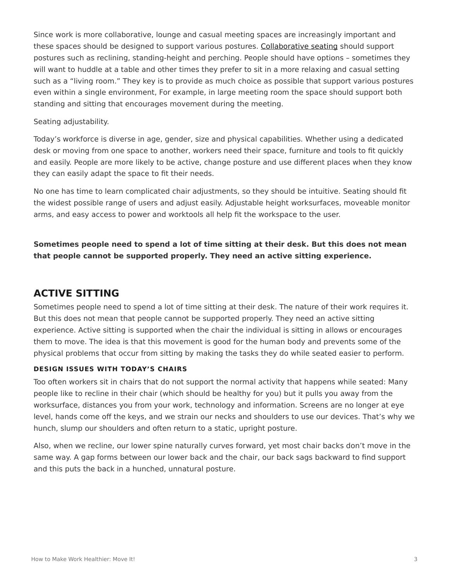Since work is more collaborative, lounge and casual meeting spaces are increasingly important and these spaces should be designed to support various postures. [Collaborative seating](https://www.steelcase.com/products/conference-chairs/) should support postures such as reclining, standing-height and perching. People should have options – sometimes they will want to huddle at a table and other times they prefer to sit in a more relaxing and casual setting such as a "living room." They key is to provide as much choice as possible that support various postures even within a single environment, For example, in large meeting room the space should support both standing and sitting that encourages movement during the meeting.

### Seating adjustability.

Today's workforce is diverse in age, gender, size and physical capabilities. Whether using a dedicated desk or moving from one space to another, workers need their space, furniture and tools to fit quickly and easily. People are more likely to be active, change posture and use different places when they know they can easily adapt the space to fit their needs.

No one has time to learn complicated chair adjustments, so they should be intuitive. Seating should fit the widest possible range of users and adjust easily. Adjustable height worksurfaces, moveable monitor arms, and easy access to power and worktools all help fit the workspace to the user.

**Sometimes people need to spend a lot of time sitting at their desk. But this does not mean that people cannot be supported properly. They need an active sitting experience.**

## **ACTIVE SITTING**

Sometimes people need to spend a lot of time sitting at their desk. The nature of their work requires it. But this does not mean that people cannot be supported properly. They need an active sitting experience. Active sitting is supported when the chair the individual is sitting in allows or encourages them to move. The idea is that this movement is good for the human body and prevents some of the physical problems that occur from sitting by making the tasks they do while seated easier to perform.

### **DESIGN ISSUES WITH TODAY'S CHAIRS**

Too often workers sit in chairs that do not support the normal activity that happens while seated: Many people like to recline in their chair (which should be healthy for you) but it pulls you away from the worksurface, distances you from your work, technology and information. Screens are no longer at eye level, hands come off the keys, and we strain our necks and shoulders to use our devices. That's why we hunch, slump our shoulders and often return to a static, upright posture.

Also, when we recline, our lower spine naturally curves forward, yet most chair backs don't move in the same way. A gap forms between our lower back and the chair, our back sags backward to find support and this puts the back in a hunched, unnatural posture.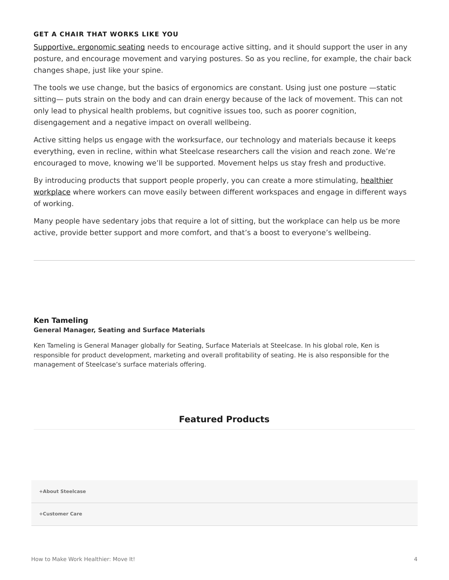#### **GET A CHAIR THAT WORKS LIKE YOU**

[Supportive, ergonomic seating](https://www.steelcase.com/products/office-chairs/gesture/) needs to encourage active sitting, and it should support the user in any posture, and encourage movement and varying postures. So as you recline, for example, the chair back changes shape, just like your spine.

The tools we use change, but the basics of ergonomics are constant. Using just one posture —static sitting— puts strain on the body and can drain energy because of the lack of movement. This can not only lead to physical health problems, but cognitive issues too, such as poorer cognition, disengagement and a negative impact on overall wellbeing.

Active sitting helps us engage with the worksurface, our technology and materials because it keeps everything, even in recline, within what Steelcase researchers call the vision and reach zone. We're encouraged to move, knowing we'll be supported. Movement helps us stay fresh and productive.

By introducing products that support people properly, you can create a more stimulating, [healthier](https://www.steelcase.com/insights/articles/six-dimensions-of-wellbeing-in-the-workplace/) [workplace](https://www.steelcase.com/insights/articles/six-dimensions-of-wellbeing-in-the-workplace/) where workers can move easily between different workspaces and engage in different ways of working.

Many people have sedentary jobs that require a lot of sitting, but the workplace can help us be more active, provide better support and more comfort, and that's a boost to everyone's wellbeing.

#### **[Ken Tameling](https://www.steelcase.com/research/articles/author/ken-tameling/) General Manager, Seating and Surface Materials**

Ken Tameling is General Manager globally for Seating, Surface Materials at Steelcase. In his global role, Ken is responsible for product development, marketing and overall profitability of seating. He is also responsible for the management of Steelcase's surface materials offering.

## **Featured Products**

**[+About Steelcase](https://www.steelcase.com/discover/steelcase/our-company/)**

**[+Customer Care](#page-0-0)**